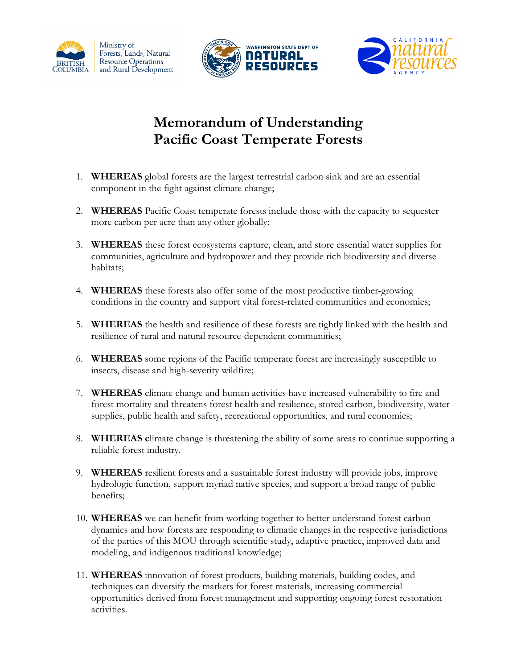





## **Memorandum of Understanding Pacific Coast Temperate Forests**

- 1. **WHEREAS** global forests are the largest terrestrial carbon sink and are an essential component in the fight against climate change;
- 2. **WHEREAS** Pacific Coast temperate forests include those with the capacity to sequester more carbon per acre than any other globally;
- 3. **WHEREAS** these forest ecosystems capture, clean, and store essential water supplies for communities, agriculture and hydropower and they provide rich biodiversity and diverse habitats;
- 4. **WHEREAS** these forests also offer some of the most productive timber-growing conditions in the country and support vital forest-related communities and economies;
- 5. **WHEREAS** the health and resilience of these forests are tightly linked with the health and resilience of rural and natural resource-dependent communities;
- 6. **WHEREAS** some regions of the Pacific temperate forest are increasingly susceptible to insects, disease and high-severity wildfire;
- 7. **WHEREAS** climate change and human activities have increased vulnerability to fire and forest mortality and threatens forest health and resilience, stored carbon, biodiversity, water supplies, public health and safety, recreational opportunities, and rural economies;
- 8. **WHEREAS c**limate change is threatening the ability of some areas to continue supporting a reliable forest industry.
- 9. **WHEREAS** resilient forests and a sustainable forest industry will provide jobs, improve hydrologic function, support myriad native species, and support a broad range of public benefits;
- 10. **WHEREAS** we can benefit from working together to better understand forest carbon dynamics and how forests are responding to climatic changes in the respective jurisdictions of the parties of this MOU through scientific study, adaptive practice, improved data and modeling, and indigenous traditional knowledge;
- 11. **WHEREAS** innovation of forest products, building materials, building codes, and techniques can diversify the markets for forest materials, increasing commercial opportunities derived from forest management and supporting ongoing forest restoration activities.